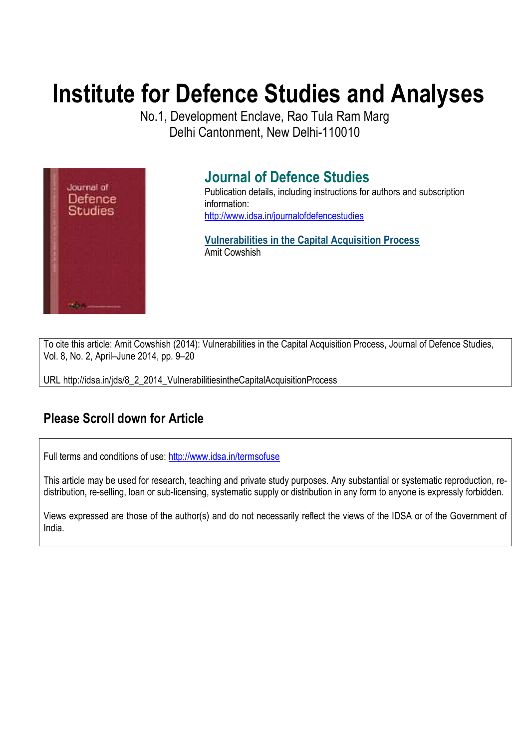# **Institute for Defence Studies and Analyses**

No.1, Development Enclave, Rao Tula Ram Marg Delhi Cantonment, New Delhi-110010



# **Journal of Defence Studies**

Publication details, including instructions for authors and subscription information: http://www.idsa.in/journalofdefencestudies

**Vulnerabilities in the Capital Acquisition Process**  Amit Cowshish

To cite this article: Amit Cowshish (2014): Vulnerabilities in the Capital Acquisition Process, Journal of Defence Studies, Vol. 8, No. 2, April–June 2014, pp. 9–20

URL http://idsa.in/jds/8\_2\_2014\_VulnerabilitiesintheCapitalAcquisitionProcess

## **Please Scroll down for Article**

Full terms and conditions of use: http://www.idsa.in/termsofuse

This article may be used for research, teaching and private study purposes. Any substantial or systematic reproduction, redistribution, re-selling, loan or sub-licensing, systematic supply or distribution in any form to anyone is expressly forbidden.

Views expressed are those of the author(s) and do not necessarily reflect the views of the IDSA or of the Government of India.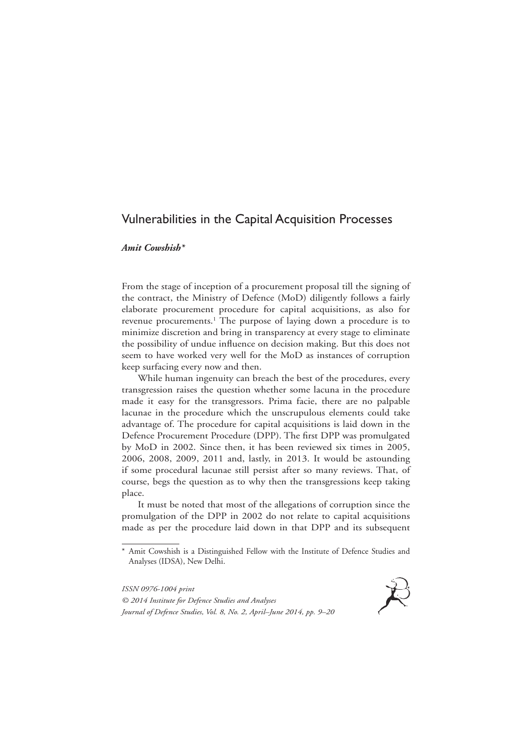## Vulnerabilities in the Capital Acquisition Processes

#### *Amit Cowshish\**

From the stage of inception of a procurement proposal till the signing of the contract, the Ministry of Defence (MoD) diligently follows a fairly elaborate procurement procedure for capital acquisitions, as also for revenue procurements.<sup>1</sup> The purpose of laying down a procedure is to minimize discretion and bring in transparency at every stage to eliminate the possibility of undue influence on decision making. But this does not seem to have worked very well for the MoD as instances of corruption keep surfacing every now and then.

While human ingenuity can breach the best of the procedures, every transgression raises the question whether some lacuna in the procedure made it easy for the transgressors. Prima facie, there are no palpable lacunae in the procedure which the unscrupulous elements could take advantage of. The procedure for capital acquisitions is laid down in the Defence Procurement Procedure (DPP). The first DPP was promulgated by MoD in 2002. Since then, it has been reviewed six times in 2005, 2006, 2008, 2009, 2011 and, lastly, in 2013. It would be astounding if some procedural lacunae still persist after so many reviews. That, of course, begs the question as to why then the transgressions keep taking place.

It must be noted that most of the allegations of corruption since the promulgation of the DPP in 2002 do not relate to capital acquisitions made as per the procedure laid down in that DPP and its subsequent

*ISSN 0976-1004 print © 2014 Institute for Defence Studies and Analyses Journal of Defence Studies, Vol. 8, No. 2, April–June 2014, pp. 9–20*



<sup>\*</sup> Amit Cowshish is a Distinguished Fellow with the Institute of Defence Studies and Analyses (IDSA), New Delhi.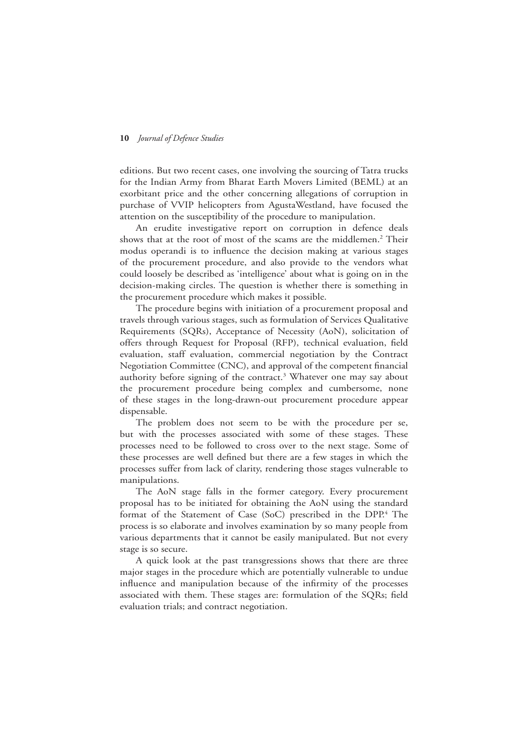editions. But two recent cases, one involving the sourcing of Tatra trucks for the Indian Army from Bharat Earth Movers Limited (BEML) at an exorbitant price and the other concerning allegations of corruption in purchase of VVIP helicopters from AgustaWestland, have focused the attention on the susceptibility of the procedure to manipulation.

An erudite investigative report on corruption in defence deals shows that at the root of most of the scams are the middlemen.<sup>2</sup> Their modus operandi is to influence the decision making at various stages of the procurement procedure, and also provide to the vendors what could loosely be described as 'intelligence' about what is going on in the decision-making circles. The question is whether there is something in the procurement procedure which makes it possible.

The procedure begins with initiation of a procurement proposal and travels through various stages, such as formulation of Services Qualitative Requirements (SQRs), Acceptance of Necessity (AoN), solicitation of offers through Request for Proposal (RFP), technical evaluation, field evaluation, staff evaluation, commercial negotiation by the Contract Negotiation Committee (CNC), and approval of the competent financial authority before signing of the contract.<sup>3</sup> Whatever one may say about the procurement procedure being complex and cumbersome, none of these stages in the long-drawn-out procurement procedure appear dispensable.

The problem does not seem to be with the procedure per se, but with the processes associated with some of these stages. These processes need to be followed to cross over to the next stage. Some of these processes are well defined but there are a few stages in which the processes suffer from lack of clarity, rendering those stages vulnerable to manipulations.

The AoN stage falls in the former category. Every procurement proposal has to be initiated for obtaining the AoN using the standard format of the Statement of Case (SoC) prescribed in the DPP.<sup>4</sup> The process is so elaborate and involves examination by so many people from various departments that it cannot be easily manipulated. But not every stage is so secure.

A quick look at the past transgressions shows that there are three major stages in the procedure which are potentially vulnerable to undue influence and manipulation because of the infirmity of the processes associated with them. These stages are: formulation of the SQRs; field evaluation trials; and contract negotiation.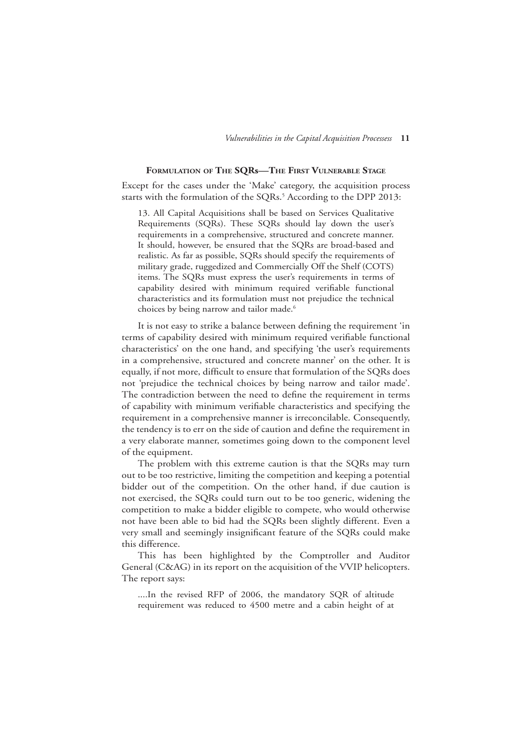#### **Formulation of The Sqrs—The First Vulnerable Stage**

Except for the cases under the 'Make' category, the acquisition process starts with the formulation of the SQRs.<sup>5</sup> According to the DPP 2013:

13. All Capital Acquisitions shall be based on Services Qualitative Requirements (SQRs). These SQRs should lay down the user's requirements in a comprehensive, structured and concrete manner. It should, however, be ensured that the SQRs are broad-based and realistic. As far as possible, SQRs should specify the requirements of military grade, ruggedized and Commercially Off the Shelf (COTS) items. The SQRs must express the user's requirements in terms of capability desired with minimum required verifiable functional characteristics and its formulation must not prejudice the technical choices by being narrow and tailor made.<sup>6</sup>

It is not easy to strike a balance between defining the requirement 'in terms of capability desired with minimum required verifiable functional characteristics' on the one hand, and specifying 'the user's requirements in a comprehensive, structured and concrete manner' on the other. It is equally, if not more, difficult to ensure that formulation of the SQRs does not 'prejudice the technical choices by being narrow and tailor made'. The contradiction between the need to define the requirement in terms of capability with minimum verifiable characteristics and specifying the requirement in a comprehensive manner is irreconcilable. Consequently, the tendency is to err on the side of caution and define the requirement in a very elaborate manner, sometimes going down to the component level of the equipment.

The problem with this extreme caution is that the SQRs may turn out to be too restrictive, limiting the competition and keeping a potential bidder out of the competition. On the other hand, if due caution is not exercised, the SQRs could turn out to be too generic, widening the competition to make a bidder eligible to compete, who would otherwise not have been able to bid had the SQRs been slightly different. Even a very small and seemingly insignificant feature of the SQRs could make this difference.

This has been highlighted by the Comptroller and Auditor General (C&AG) in its report on the acquisition of the VVIP helicopters. The report says:

....In the revised RFP of 2006, the mandatory SQR of altitude requirement was reduced to 4500 metre and a cabin height of at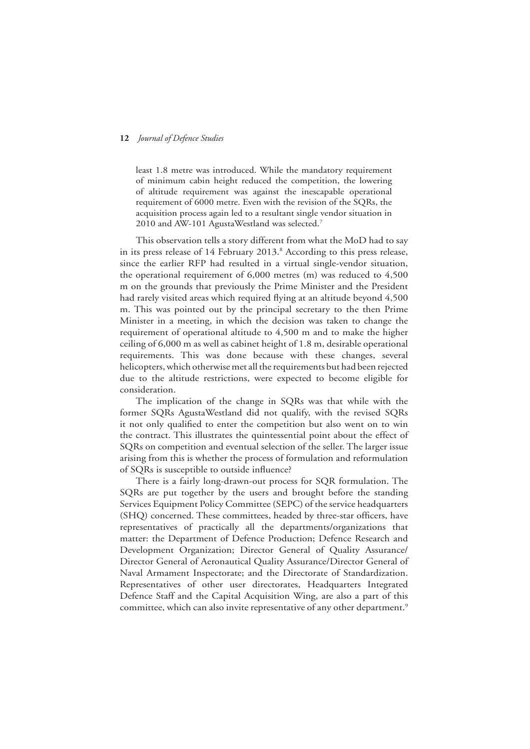least 1.8 metre was introduced. While the mandatory requirement of minimum cabin height reduced the competition, the lowering of altitude requirement was against the inescapable operational requirement of 6000 metre. Even with the revision of the SQRs, the acquisition process again led to a resultant single vendor situation in 2010 and AW-101 AgustaWestland was selected.<sup>7</sup>

This observation tells a story different from what the MoD had to say in its press release of 14 February 2013.<sup>8</sup> According to this press release, since the earlier RFP had resulted in a virtual single-vendor situation, the operational requirement of 6,000 metres (m) was reduced to 4,500 m on the grounds that previously the Prime Minister and the President had rarely visited areas which required flying at an altitude beyond 4,500 m. This was pointed out by the principal secretary to the then Prime Minister in a meeting, in which the decision was taken to change the requirement of operational altitude to 4,500 m and to make the higher ceiling of 6,000 m as well as cabinet height of 1.8 m, desirable operational requirements. This was done because with these changes, several helicopters, which otherwise met all the requirements but had been rejected due to the altitude restrictions, were expected to become eligible for consideration.

The implication of the change in SQRs was that while with the former SQRs AgustaWestland did not qualify, with the revised SQRs it not only qualified to enter the competition but also went on to win the contract. This illustrates the quintessential point about the effect of SQRs on competition and eventual selection of the seller. The larger issue arising from this is whether the process of formulation and reformulation of SQRs is susceptible to outside influence?

There is a fairly long-drawn-out process for SQR formulation. The SQRs are put together by the users and brought before the standing Services Equipment Policy Committee (SEPC) of the service headquarters (SHQ) concerned. These committees, headed by three-star officers, have representatives of practically all the departments/organizations that matter: the Department of Defence Production; Defence Research and Development Organization; Director General of Quality Assurance/ Director General of Aeronautical Quality Assurance/Director General of Naval Armament Inspectorate; and the Directorate of Standardization. Representatives of other user directorates, Headquarters Integrated Defence Staff and the Capital Acquisition Wing, are also a part of this committee, which can also invite representative of any other department.<sup>9</sup>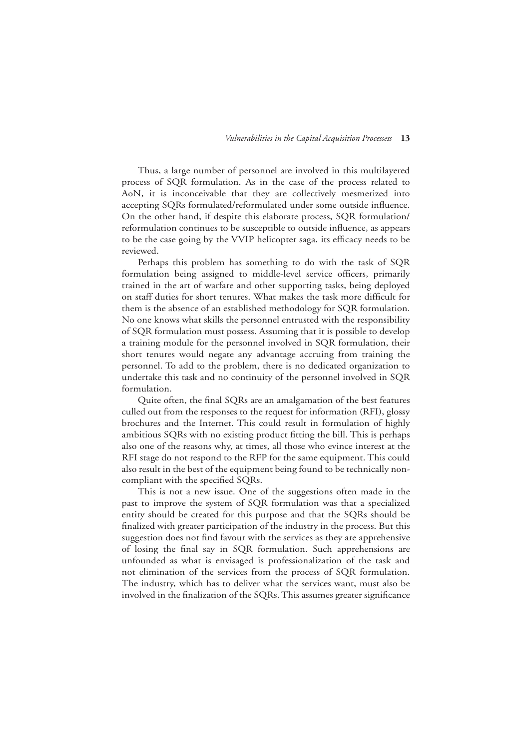Thus, a large number of personnel are involved in this multilayered process of SQR formulation. As in the case of the process related to AoN, it is inconceivable that they are collectively mesmerized into accepting SQRs formulated/reformulated under some outside influence. On the other hand, if despite this elaborate process, SQR formulation/ reformulation continues to be susceptible to outside influence, as appears to be the case going by the VVIP helicopter saga, its efficacy needs to be reviewed.

Perhaps this problem has something to do with the task of SQR formulation being assigned to middle-level service officers, primarily trained in the art of warfare and other supporting tasks, being deployed on staff duties for short tenures. What makes the task more difficult for them is the absence of an established methodology for SQR formulation. No one knows what skills the personnel entrusted with the responsibility of SQR formulation must possess. Assuming that it is possible to develop a training module for the personnel involved in SQR formulation, their short tenures would negate any advantage accruing from training the personnel. To add to the problem, there is no dedicated organization to undertake this task and no continuity of the personnel involved in SQR formulation.

Quite often, the final SQRs are an amalgamation of the best features culled out from the responses to the request for information (RFI), glossy brochures and the Internet. This could result in formulation of highly ambitious SQRs with no existing product fitting the bill. This is perhaps also one of the reasons why, at times, all those who evince interest at the RFI stage do not respond to the RFP for the same equipment. This could also result in the best of the equipment being found to be technically noncompliant with the specified SQRs.

This is not a new issue. One of the suggestions often made in the past to improve the system of SQR formulation was that a specialized entity should be created for this purpose and that the SQRs should be finalized with greater participation of the industry in the process. But this suggestion does not find favour with the services as they are apprehensive of losing the final say in SQR formulation. Such apprehensions are unfounded as what is envisaged is professionalization of the task and not elimination of the services from the process of SQR formulation. The industry, which has to deliver what the services want, must also be involved in the finalization of the SQRs. This assumes greater significance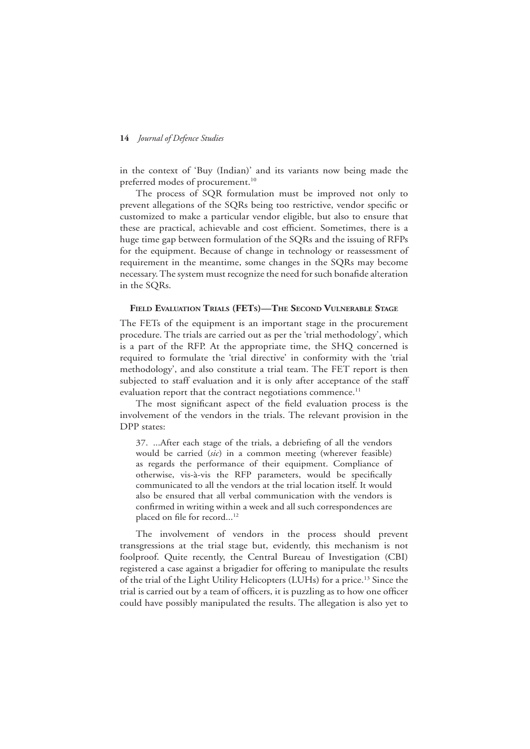in the context of 'Buy (Indian)' and its variants now being made the preferred modes of procurement.<sup>10</sup>

The process of SQR formulation must be improved not only to prevent allegations of the SQRs being too restrictive, vendor specific or customized to make a particular vendor eligible, but also to ensure that these are practical, achievable and cost efficient. Sometimes, there is a huge time gap between formulation of the SQRs and the issuing of RFPs for the equipment. Because of change in technology or reassessment of requirement in the meantime, some changes in the SQRs may become necessary. The system must recognize the need for such bonafide alteration in the SQRs.

#### **Field Evaluation Trials (FETs)—The Second Vulnerable Stage**

The FETs of the equipment is an important stage in the procurement procedure. The trials are carried out as per the 'trial methodology', which is a part of the RFP. At the appropriate time, the SHQ concerned is required to formulate the 'trial directive' in conformity with the 'trial methodology', and also constitute a trial team. The FET report is then subjected to staff evaluation and it is only after acceptance of the staff evaluation report that the contract negotiations commence.<sup>11</sup>

The most significant aspect of the field evaluation process is the involvement of the vendors in the trials. The relevant provision in the DPP states:

37. ...After each stage of the trials, a debriefing of all the vendors would be carried (*sic*) in a common meeting (wherever feasible) as regards the performance of their equipment. Compliance of otherwise, vis-à-vis the RFP parameters, would be specifically communicated to all the vendors at the trial location itself. It would also be ensured that all verbal communication with the vendors is confirmed in writing within a week and all such correspondences are placed on file for record...<sup>12</sup>

The involvement of vendors in the process should prevent transgressions at the trial stage but, evidently, this mechanism is not foolproof. Quite recently, the Central Bureau of Investigation (CBI) registered a case against a brigadier for offering to manipulate the results of the trial of the Light Utility Helicopters (LUHs) for a price.13 Since the trial is carried out by a team of officers, it is puzzling as to how one officer could have possibly manipulated the results. The allegation is also yet to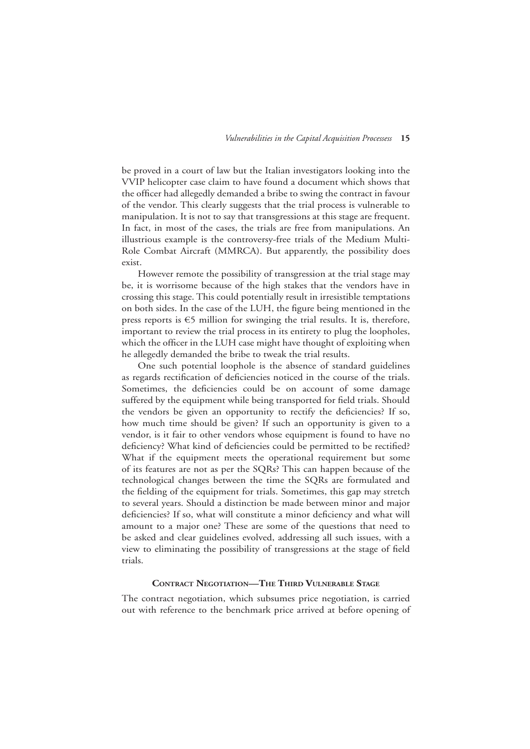be proved in a court of law but the Italian investigators looking into the VVIP helicopter case claim to have found a document which shows that the officer had allegedly demanded a bribe to swing the contract in favour of the vendor. This clearly suggests that the trial process is vulnerable to manipulation. It is not to say that transgressions at this stage are frequent. In fact, in most of the cases, the trials are free from manipulations. An illustrious example is the controversy-free trials of the Medium Multi-Role Combat Aircraft (MMRCA). But apparently, the possibility does exist.

However remote the possibility of transgression at the trial stage may be, it is worrisome because of the high stakes that the vendors have in crossing this stage. This could potentially result in irresistible temptations on both sides. In the case of the LUH, the figure being mentioned in the press reports is €5 million for swinging the trial results. It is, therefore, important to review the trial process in its entirety to plug the loopholes, which the officer in the LUH case might have thought of exploiting when he allegedly demanded the bribe to tweak the trial results.

One such potential loophole is the absence of standard guidelines as regards rectification of deficiencies noticed in the course of the trials. Sometimes, the deficiencies could be on account of some damage suffered by the equipment while being transported for field trials. Should the vendors be given an opportunity to rectify the deficiencies? If so, how much time should be given? If such an opportunity is given to a vendor, is it fair to other vendors whose equipment is found to have no deficiency? What kind of deficiencies could be permitted to be rectified? What if the equipment meets the operational requirement but some of its features are not as per the SQRs? This can happen because of the technological changes between the time the SQRs are formulated and the fielding of the equipment for trials. Sometimes, this gap may stretch to several years. Should a distinction be made between minor and major deficiencies? If so, what will constitute a minor deficiency and what will amount to a major one? These are some of the questions that need to be asked and clear guidelines evolved, addressing all such issues, with a view to eliminating the possibility of transgressions at the stage of field trials.

#### **Contract Negotiation—The Third Vulnerable Stage**

The contract negotiation, which subsumes price negotiation, is carried out with reference to the benchmark price arrived at before opening of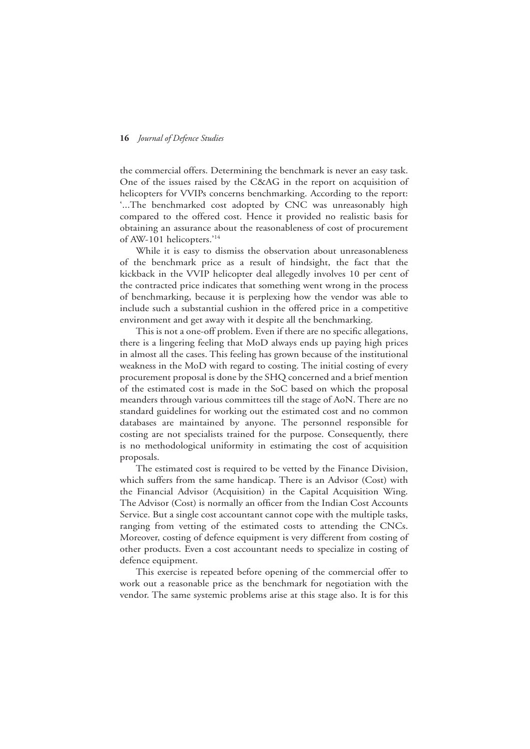the commercial offers. Determining the benchmark is never an easy task. One of the issues raised by the C&AG in the report on acquisition of helicopters for VVIPs concerns benchmarking. According to the report: '...The benchmarked cost adopted by CNC was unreasonably high compared to the offered cost. Hence it provided no realistic basis for obtaining an assurance about the reasonableness of cost of procurement of AW-101 helicopters.'14

While it is easy to dismiss the observation about unreasonableness of the benchmark price as a result of hindsight, the fact that the kickback in the VVIP helicopter deal allegedly involves 10 per cent of the contracted price indicates that something went wrong in the process of benchmarking, because it is perplexing how the vendor was able to include such a substantial cushion in the offered price in a competitive environment and get away with it despite all the benchmarking.

This is not a one-off problem. Even if there are no specific allegations, there is a lingering feeling that MoD always ends up paying high prices in almost all the cases. This feeling has grown because of the institutional weakness in the MoD with regard to costing. The initial costing of every procurement proposal is done by the SHQ concerned and a brief mention of the estimated cost is made in the SoC based on which the proposal meanders through various committees till the stage of AoN. There are no standard guidelines for working out the estimated cost and no common databases are maintained by anyone. The personnel responsible for costing are not specialists trained for the purpose. Consequently, there is no methodological uniformity in estimating the cost of acquisition proposals.

The estimated cost is required to be vetted by the Finance Division, which suffers from the same handicap. There is an Advisor (Cost) with the Financial Advisor (Acquisition) in the Capital Acquisition Wing. The Advisor (Cost) is normally an officer from the Indian Cost Accounts Service. But a single cost accountant cannot cope with the multiple tasks, ranging from vetting of the estimated costs to attending the CNCs. Moreover, costing of defence equipment is very different from costing of other products. Even a cost accountant needs to specialize in costing of defence equipment.

This exercise is repeated before opening of the commercial offer to work out a reasonable price as the benchmark for negotiation with the vendor. The same systemic problems arise at this stage also. It is for this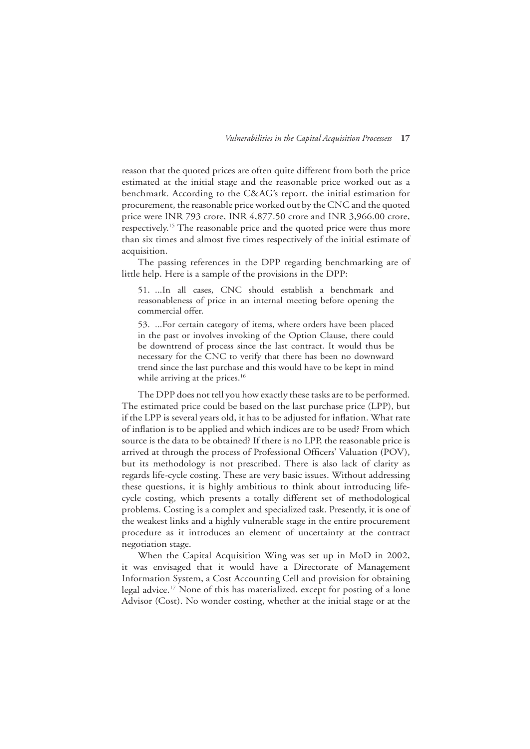reason that the quoted prices are often quite different from both the price estimated at the initial stage and the reasonable price worked out as a benchmark. According to the C&AG's report, the initial estimation for procurement, the reasonable price worked out by the CNC and the quoted price were INR 793 crore, INR 4,877.50 crore and INR 3,966.00 crore, respectively.15 The reasonable price and the quoted price were thus more than six times and almost five times respectively of the initial estimate of acquisition.

The passing references in the DPP regarding benchmarking are of little help. Here is a sample of the provisions in the DPP:

51. ...In all cases, CNC should establish a benchmark and reasonableness of price in an internal meeting before opening the commercial offer.

53. ...For certain category of items, where orders have been placed in the past or involves invoking of the Option Clause, there could be downtrend of process since the last contract. It would thus be necessary for the CNC to verify that there has been no downward trend since the last purchase and this would have to be kept in mind while arriving at the prices.<sup>16</sup>

The DPP does not tell you how exactly these tasks are to be performed. The estimated price could be based on the last purchase price (LPP), but if the LPP is several years old, it has to be adjusted for inflation. What rate of inflation is to be applied and which indices are to be used? From which source is the data to be obtained? If there is no LPP, the reasonable price is arrived at through the process of Professional Officers' Valuation (POV), but its methodology is not prescribed. There is also lack of clarity as regards life-cycle costing. These are very basic issues. Without addressing these questions, it is highly ambitious to think about introducing lifecycle costing, which presents a totally different set of methodological problems. Costing is a complex and specialized task. Presently, it is one of the weakest links and a highly vulnerable stage in the entire procurement procedure as it introduces an element of uncertainty at the contract negotiation stage.

When the Capital Acquisition Wing was set up in MoD in 2002, it was envisaged that it would have a Directorate of Management Information System, a Cost Accounting Cell and provision for obtaining legal advice.17 None of this has materialized, except for posting of a lone Advisor (Cost). No wonder costing, whether at the initial stage or at the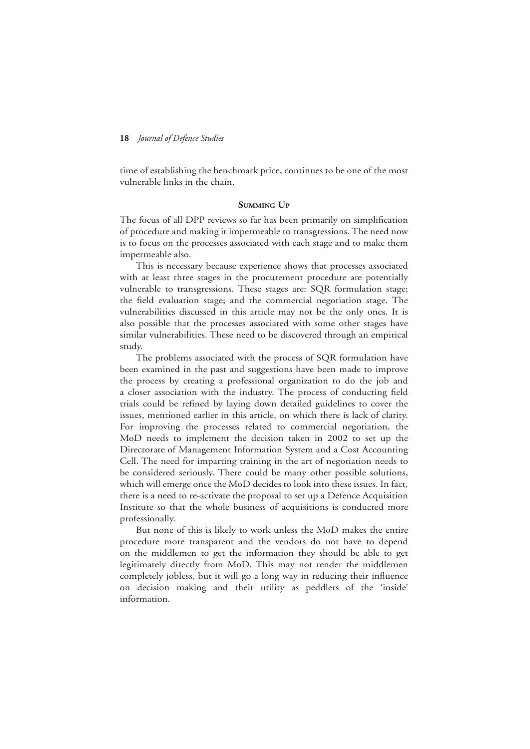time of establishing the benchmark price, continues to be one of the most vulnerable links in the chain.

#### **Summing Up**

The focus of all DPP reviews so far has been primarily on simplification of procedure and making it impermeable to transgressions. The need now is to focus on the processes associated with each stage and to make them impermeable also.

This is necessary because experience shows that processes associated with at least three stages in the procurement procedure are potentially vulnerable to transgressions. These stages are: SQR formulation stage; the field evaluation stage; and the commercial negotiation stage. The vulnerabilities discussed in this article may not be the only ones. It is also possible that the processes associated with some other stages have similar vulnerabilities. These need to be discovered through an empirical study.

The problems associated with the process of SQR formulation have been examined in the past and suggestions have been made to improve the process by creating a professional organization to do the job and a closer association with the industry. The process of conducting field trials could be refined by laying down detailed guidelines to cover the issues, mentioned earlier in this article, on which there is lack of clarity. For improving the processes related to commercial negotiation, the MoD needs to implement the decision taken in 2002 to set up the Directorate of Management Information System and a Cost Accounting Cell. The need for imparting training in the art of negotiation needs to be considered seriously. There could be many other possible solutions, which will emerge once the MoD decides to look into these issues. In fact, there is a need to re-activate the proposal to set up a Defence Acquisition Institute so that the whole business of acquisitions is conducted more professionally.

But none of this is likely to work unless the MoD makes the entire procedure more transparent and the vendors do not have to depend on the middlemen to get the information they should be able to get legitimately directly from MoD. This may not render the middlemen completely jobless, but it will go a long way in reducing their influence on decision making and their utility as peddlers of the 'inside' information.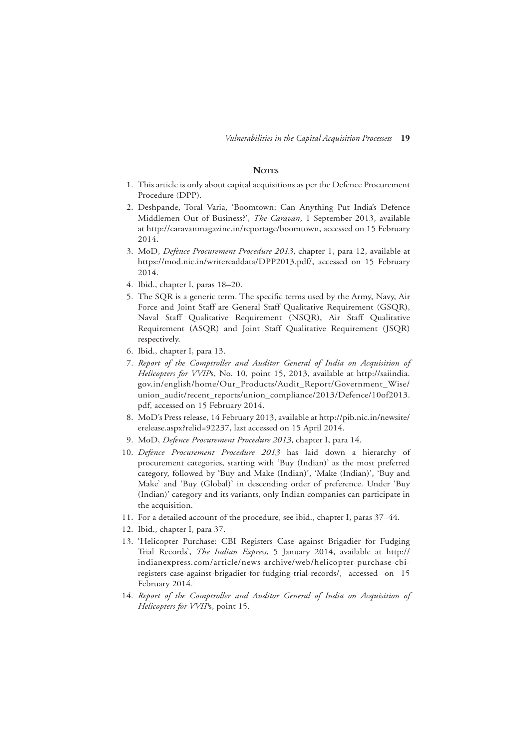#### **NOTES**

- 1. This article is only about capital acquisitions as per the Defence Procurement Procedure (DPP).
- 2. Deshpande, Toral Varia, 'Boomtown: Can Anything Put India's Defence Middlemen Out of Business?', *The Caravan*, 1 September 2013, available at http://caravanmagazine.in/reportage/boomtown, accessed on 15 February 2014.
- 3. MoD, *Defence Procurement Procedure 2013*, chapter 1, para 12, available at https://mod.nic.in/writereaddata/DPP2013.pdf/, accessed on 15 February 2014.
- 4. Ibid., chapter I, paras 18–20.
- 5. The SQR is a generic term. The specific terms used by the Army, Navy, Air Force and Joint Staff are General Staff Qualitative Requirement (GSQR), Naval Staff Qualitative Requirement (NSQR), Air Staff Qualitative Requirement (ASQR) and Joint Staff Qualitative Requirement (JSQR) respectively.
- 6. Ibid., chapter I, para 13.
- 7. *Report of the Comptroller and Auditor General of India on Acquisition of Helicopters for VVIP*s, No. 10, point 15, 2013, available at http://saiindia. gov.in/english/home/Our\_Products/Audit\_Report/Government\_Wise/ union\_audit/recent\_reports/union\_compliance/2013/Defence/10of2013. pdf, accessed on 15 February 2014.
- 8. MoD's Press release, 14 February 2013, available at http://pib.nic.in/newsite/ erelease.aspx?relid=92237, last accessed on 15 April 2014.
- 9. MoD, *Defence Procurement Procedure 2013*, chapter I, para 14.
- 10. *Defence Procurement Procedure 2013* has laid down a hierarchy of procurement categories, starting with 'Buy (Indian)' as the most preferred category, followed by 'Buy and Make (Indian)', 'Make (Indian)', 'Buy and Make' and 'Buy (Global)' in descending order of preference. Under 'Buy (Indian)' category and its variants, only Indian companies can participate in the acquisition.
- 11. For a detailed account of the procedure, see ibid., chapter I, paras 37–44.
- 12. Ibid., chapter I, para 37.
- 13. 'Helicopter Purchase: CBI Registers Case against Brigadier for Fudging Trial Records', *The Indian Express*, 5 January 2014, available at http:// indianexpress.com/article/news-archive/web/helicopter-purchase-cbiregisters-case-against-brigadier-for-fudging-trial-records/, accessed on 15 February 2014.
- 14. *Report of the Comptroller and Auditor General of India on Acquisition of Helicopters for VVIP*s, point 15.